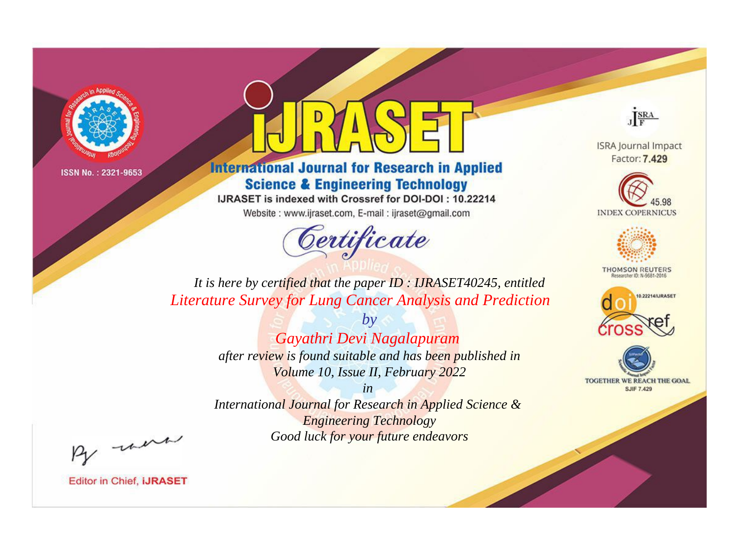

## **International Journal for Research in Applied Science & Engineering Technology**

IJRASET is indexed with Crossref for DOI-DOI: 10.22214

Website: www.ijraset.com, E-mail: ijraset@gmail.com

## Certificate



**ISRA Journal Impact** Factor: 7.429





**THOMSON REUTERS** 



TOGETHER WE REACH THE GOAL **SJIF 7.429** 

It is here by certified that the paper ID: IJRASET40245, entitled **Literature Survey for Lung Cancer Analysis and Prediction** 

> $b\nu$ Gayathri Devi Nagalapuram after review is found suitable and has been published in Volume 10, Issue II, February 2022

 $in$ International Journal for Research in Applied Science & **Engineering Technology** Good luck for your future endeavors

By morn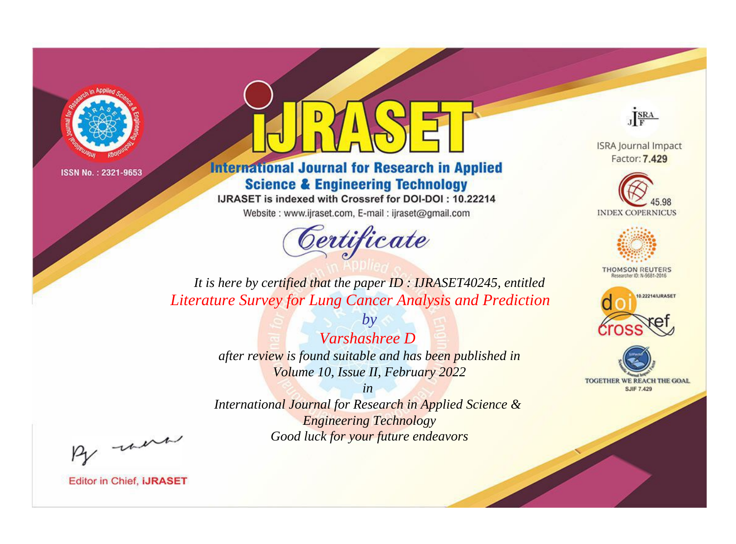

## **International Journal for Research in Applied Science & Engineering Technology**

IJRASET is indexed with Crossref for DOI-DOI: 10.22214

Website: www.ijraset.com, E-mail: ijraset@gmail.com



JERA

**ISRA Journal Impact** Factor: 7.429





**THOMSON REUTERS** 



TOGETHER WE REACH THE GOAL **SJIF 7.429** 

*It is here by certified that the paper ID : IJRASET40245, entitled Literature Survey for Lung Cancer Analysis and Prediction*

> *Varshashree D after review is found suitable and has been published in Volume 10, Issue II, February 2022*

*by*

*in* 

*International Journal for Research in Applied Science & Engineering Technology Good luck for your future endeavors*

By morn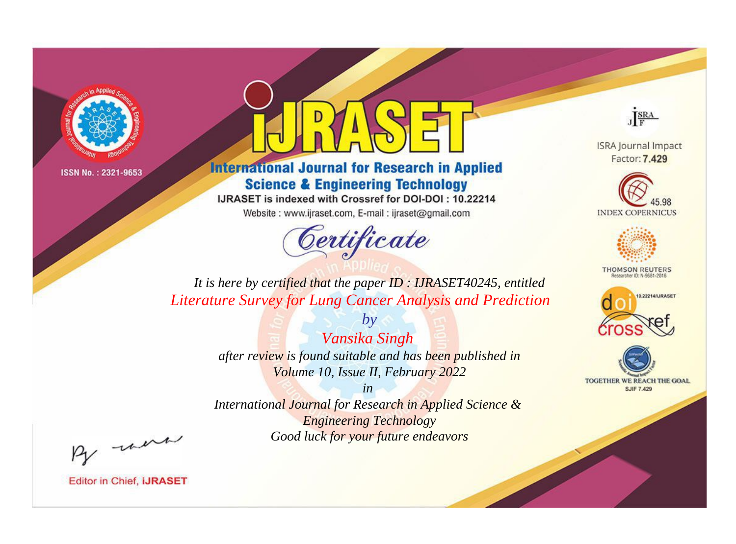

## **International Journal for Research in Applied Science & Engineering Technology**

IJRASET is indexed with Crossref for DOI-DOI: 10.22214

Website: www.ijraset.com, E-mail: ijraset@gmail.com



JERA

**ISRA Journal Impact** Factor: 7.429





**THOMSON REUTERS** 



TOGETHER WE REACH THE GOAL **SJIF 7.429** 

It is here by certified that the paper ID: IJRASET40245, entitled **Literature Survey for Lung Cancer Analysis and Prediction** 

> Vansika Singh after review is found suitable and has been published in Volume 10, Issue II, February 2022

 $by$ 

 $in$ International Journal for Research in Applied Science & **Engineering Technology** Good luck for your future endeavors

By morn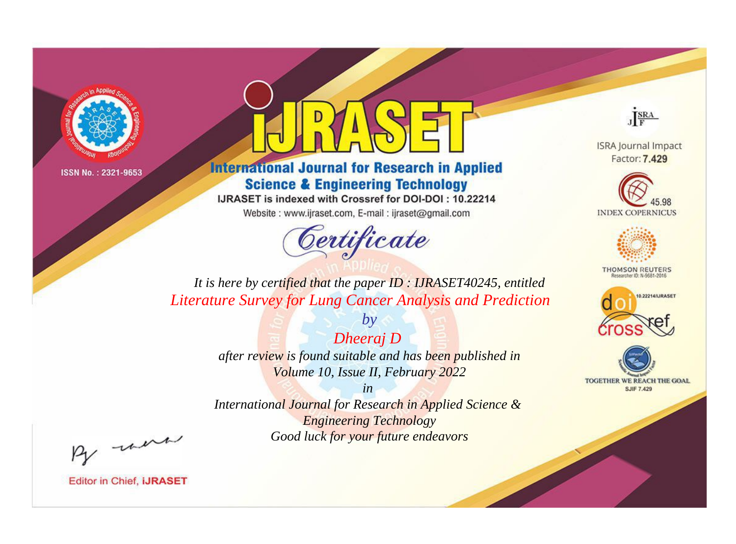

## **International Journal for Research in Applied Science & Engineering Technology**

IJRASET is indexed with Crossref for DOI-DOI: 10.22214

Website: www.ijraset.com, E-mail: ijraset@gmail.com



JERA

**ISRA Journal Impact** Factor: 7.429





**THOMSON REUTERS** 



TOGETHER WE REACH THE GOAL **SJIF 7.429** 

It is here by certified that the paper ID: IJRASET40245, entitled **Literature Survey for Lung Cancer Analysis and Prediction** 

> Dheeraj D after review is found suitable and has been published in Volume 10, Issue II, February 2022

 $by$ 

 $in$ International Journal for Research in Applied Science & **Engineering Technology** Good luck for your future endeavors

By morn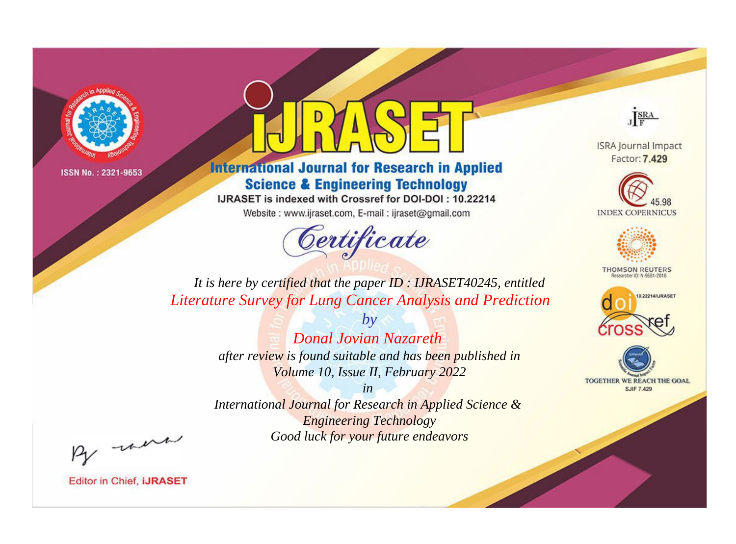

## **International Journal for Research in Applied Science & Engineering Technology**

IJRASET is indexed with Crossref for DOI-DOI: 10.22214

Website: www.ijraset.com, E-mail: ijraset@gmail.com

# Certificate

JERA

**ISRA Journal Impact** Factor: 7.429





**THOMSON REUTERS** 



TOGETHER WE REACH THE GOAL **SJIF 7.429** 

It is here by certified that the paper ID: IJRASET40245, entitled **Literature Survey for Lung Cancer Analysis and Prediction** 

> $b\nu$ Donal Jovian Nazareth after review is found suitable and has been published in Volume 10, Issue II, February 2022

> $in$ International Journal for Research in Applied Science & **Engineering Technology** Good luck for your future endeavors

By morn